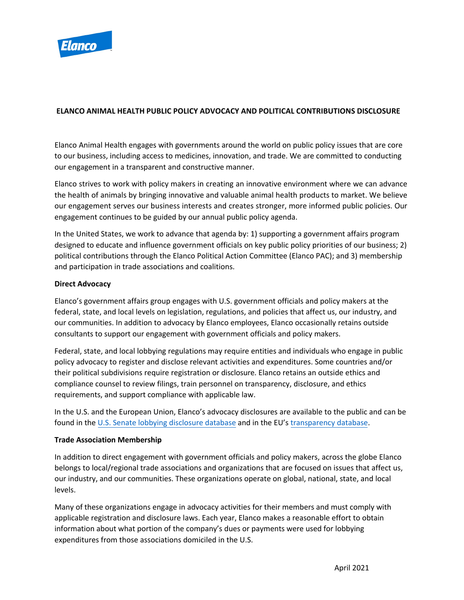

# **ELANCO ANIMAL HEALTH PUBLIC POLICY ADVOCACY AND POLITICAL CONTRIBUTIONS DISCLOSURE**

Elanco Animal Health engages with governments around the world on public policy issues that are core to our business, including access to medicines, innovation, and trade. We are committed to conducting our engagement in a transparent and constructive manner.

Elanco strives to work with policy makers in creating an innovative environment where we can advance the health of animals by bringing innovative and valuable animal health products to market. We believe our engagement serves our business interests and creates stronger, more informed public policies. Our engagement continues to be guided by our annual public policy agenda.

In the United States, we work to advance that agenda by: 1) supporting a government affairs program designed to educate and influence government officials on key public policy priorities of our business; 2) political contributions through the Elanco Political Action Committee (Elanco PAC); and 3) membership and participation in trade associations and coalitions.

# **Direct Advocacy**

Elanco's government affairs group engages with U.S. government officials and policy makers at the federal, state, and local levels on legislation, regulations, and policies that affect us, our industry, and our communities. In addition to advocacy by Elanco employees, Elanco occasionally retains outside consultants to support our engagement with government officials and policy makers.

Federal, state, and local lobbying regulations may require entities and individuals who engage in public policy advocacy to register and disclose relevant activities and expenditures. Some countries and/or their political subdivisions require registration or disclosure. Elanco retains an outside ethics and compliance counsel to review filings, train personnel on transparency, disclosure, and ethics requirements, and support compliance with applicable law.

In the U.S. and the European Union, Elanco's advocacy disclosures are available to the public and can be found in the [U.S. Senate lobbying disclosure database](http://soprweb.senate.gov/index.cfm?event=selectfields) and in the EU's [transparency database.](https://ec.europa.eu/info/about-european-commission/service-standards-and-principles/transparency/transparency-register_en)

# **Trade Association Membership**

In addition to direct engagement with government officials and policy makers, across the globe Elanco belongs to local/regional trade associations and organizations that are focused on issues that affect us, our industry, and our communities. These organizations operate on global, national, state, and local levels.

Many of these organizations engage in advocacy activities for their members and must comply with applicable registration and disclosure laws. Each year, Elanco makes a reasonable effort to obtain information about what portion of the company's dues or payments were used for lobbying expenditures from those associations domiciled in the U.S.